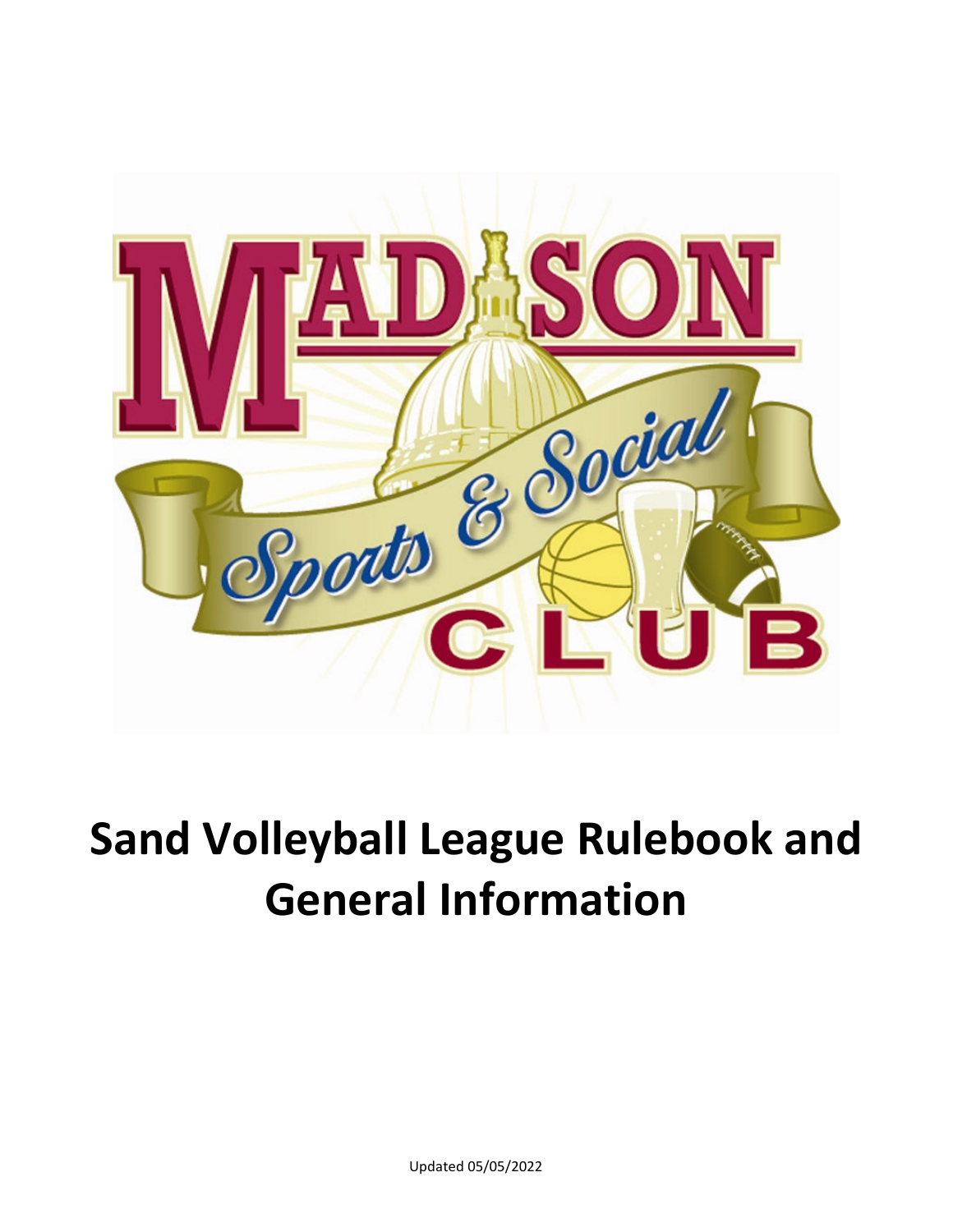

# **Sand Volleyball League Rulebook and General Information**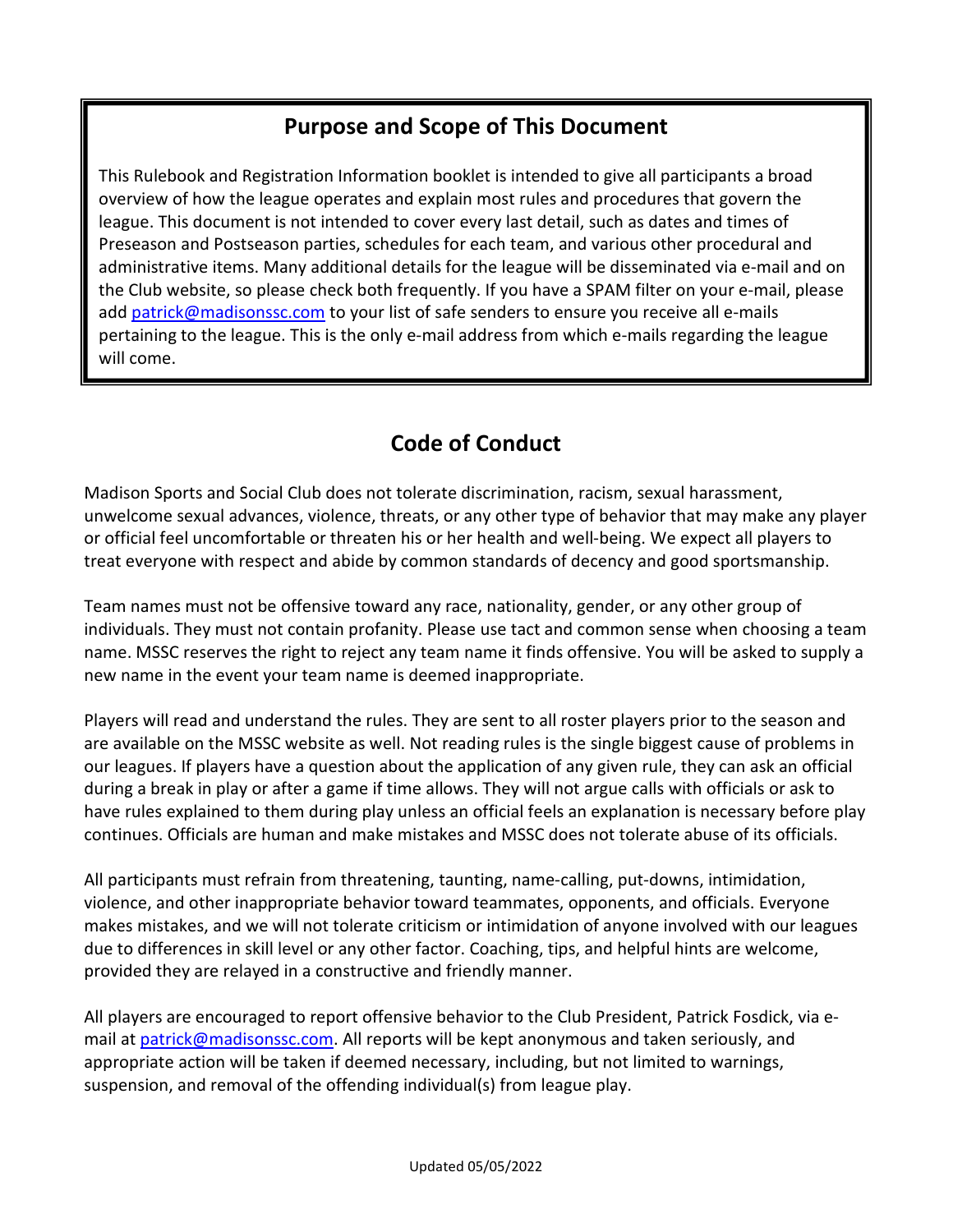## **Purpose and Scope of This Document**

**Welcome**  This Rulebook and Registration Information booklet is intended to give all participants a broad overview of how the league operates and explain most rules and procedures that govern the league. This document is not intended to cover every last detail, such as dates and times of Preseason and Postseason parties, schedules for each team, and various other procedural and administrative items. Many additional details for the league will be disseminated via e-mail and on the Club website, so please check both frequently. If you have a SPAM filter on your e-mail, please add patrick@madisonssc.com to your list of safe senders to ensure you receive all e-mails pertaining to the league. This is the only e-mail address from which e-mails regarding the league will come.

# **Code of Conduct**

Madison Sports and Social Club does not tolerate discrimination, racism, sexual harassment, unwelcome sexual advances, violence, threats, or any other type of behavior that may make any player or official feel uncomfortable or threaten his or her health and well-being. We expect all players to treat everyone with respect and abide by common standards of decency and good sportsmanship.

Team names must not be offensive toward any race, nationality, gender, or any other group of individuals. They must not contain profanity. Please use tact and common sense when choosing a team name. MSSC reserves the right to reject any team name it finds offensive. You will be asked to supply a new name in the event your team name is deemed inappropriate.

Players will read and understand the rules. They are sent to all roster players prior to the season and are available on the MSSC website as well. Not reading rules is the single biggest cause of problems in our leagues. If players have a question about the application of any given rule, they can ask an official during a break in play or after a game if time allows. They will not argue calls with officials or ask to have rules explained to them during play unless an official feels an explanation is necessary before play continues. Officials are human and make mistakes and MSSC does not tolerate abuse of its officials.

All participants must refrain from threatening, taunting, name-calling, put-downs, intimidation, violence, and other inappropriate behavior toward teammates, opponents, and officials. Everyone makes mistakes, and we will not tolerate criticism or intimidation of anyone involved with our leagues due to differences in skill level or any other factor. Coaching, tips, and helpful hints are welcome, provided they are relayed in a constructive and friendly manner.

All players are encouraged to report offensive behavior to the Club President, Patrick Fosdick, via email at patrick@madisonssc.com. All reports will be kept anonymous and taken seriously, and appropriate action will be taken if deemed necessary, including, but not limited to warnings, suspension, and removal of the offending individual(s) from league play.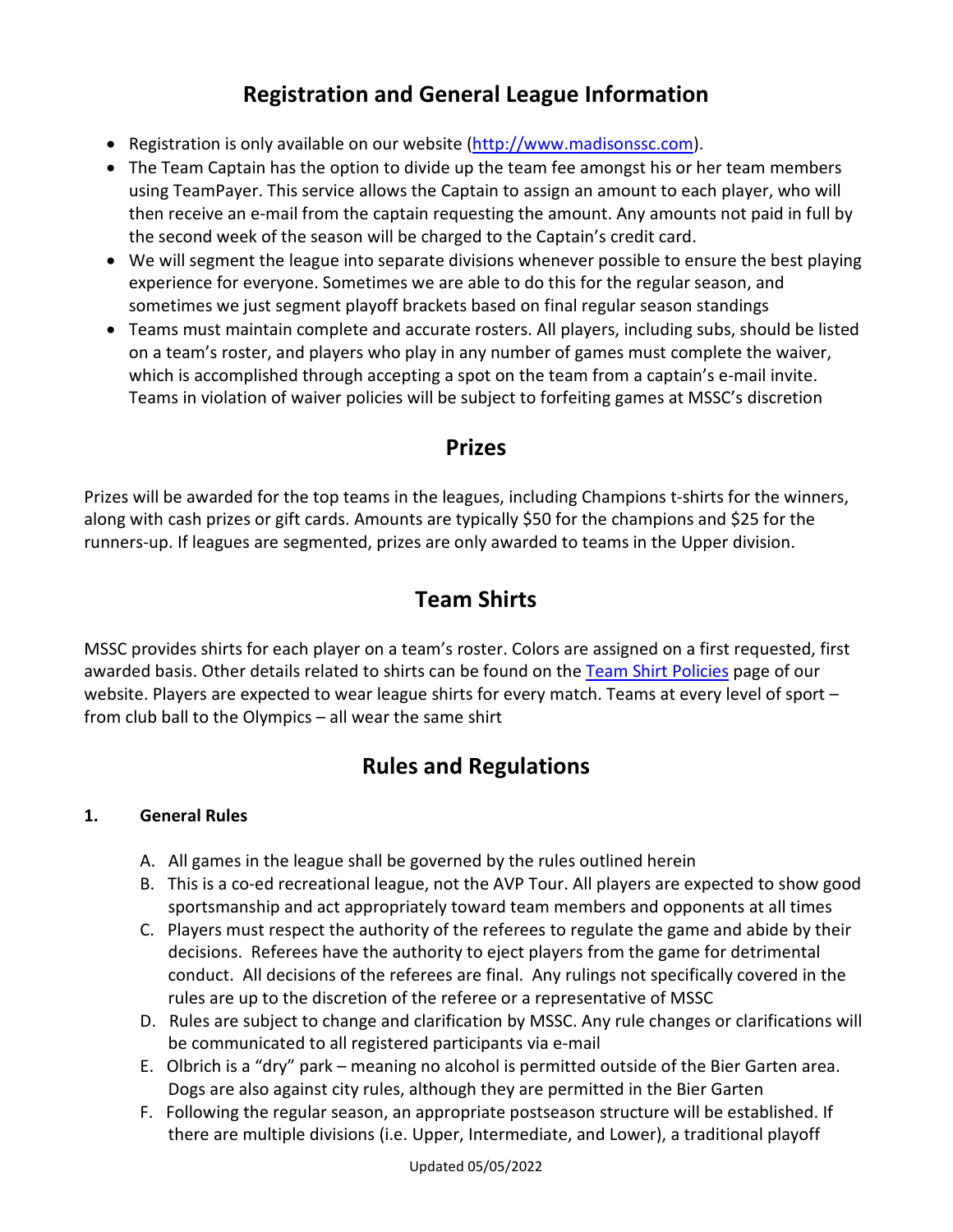# **Registration and General League Information**

- Registration is only available on our website (http://www.madisonssc.com).
- The Team Captain has the option to divide up the team fee amongst his or her team members using TeamPayer. This service allows the Captain to assign an amount to each player, who will then receive an e-mail from the captain requesting the amount. Any amounts not paid in full by the second week of the season will be charged to the Captain's credit card.
- We will segment the league into separate divisions whenever possible to ensure the best playing experience for everyone. Sometimes we are able to do this for the regular season, and sometimes we just segment playoff brackets based on final regular season standings
- Teams must maintain complete and accurate rosters. All players, including subs, should be listed on a team's roster, and players who play in any number of games must complete the waiver, which is accomplished through accepting a spot on the team from a captain's e-mail invite. Teams in violation of waiver policies will be subject to forfeiting games at MSSC's discretion

#### **Prizes**

Prizes will be awarded for the top teams in the leagues, including Champions t-shirts for the winners, along with cash prizes or gift cards. Amounts are typically \$50 for the champions and \$25 for the runners-up. If leagues are segmented, prizes are only awarded to teams in the Upper division.

## **Team Shirts**

MSSC provides shirts for each player on a team's roster. Colors are assigned on a first requested, first awarded basis. Other details related to shirts can be found on the Team Shirt Policies page of our website. Players are expected to wear league shirts for every match. Teams at every level of sport from club ball to the Olympics – all wear the same shirt

## **Rules and Regulations**

#### **1. General Rules**

- A. All games in the league shall be governed by the rules outlined herein
- B. This is a co-ed recreational league, not the AVP Tour. All players are expected to show good sportsmanship and act appropriately toward team members and opponents at all times
- C. Players must respect the authority of the referees to regulate the game and abide by their decisions. Referees have the authority to eject players from the game for detrimental conduct. All decisions of the referees are final. Any rulings not specifically covered in the rules are up to the discretion of the referee or a representative of MSSC
- D. Rules are subject to change and clarification by MSSC. Any rule changes or clarifications will be communicated to all registered participants via e-mail
- E. Olbrich is a "dry" park meaning no alcohol is permitted outside of the Bier Garten area. Dogs are also against city rules, although they are permitted in the Bier Garten
- F. Following the regular season, an appropriate postseason structure will be established. If there are multiple divisions (i.e. Upper, Intermediate, and Lower), a traditional playoff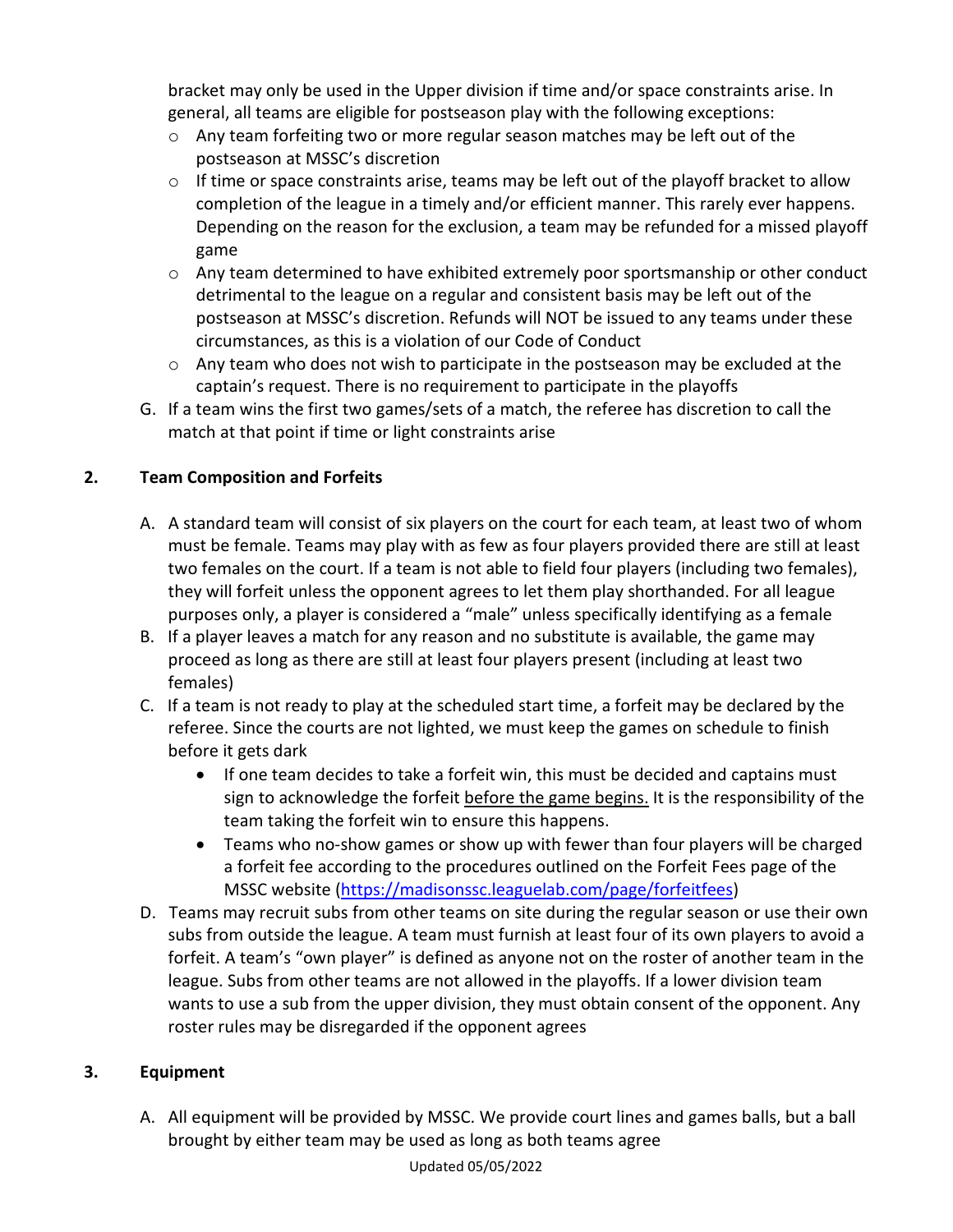bracket may only be used in the Upper division if time and/or space constraints arise. In general, all teams are eligible for postseason play with the following exceptions:

- $\circ$  Any team forfeiting two or more regular season matches may be left out of the postseason at MSSC's discretion
- $\circ$  If time or space constraints arise, teams may be left out of the playoff bracket to allow completion of the league in a timely and/or efficient manner. This rarely ever happens. Depending on the reason for the exclusion, a team may be refunded for a missed playoff game
- o Any team determined to have exhibited extremely poor sportsmanship or other conduct detrimental to the league on a regular and consistent basis may be left out of the postseason at MSSC's discretion. Refunds will NOT be issued to any teams under these circumstances, as this is a violation of our Code of Conduct
- $\circ$  Any team who does not wish to participate in the postseason may be excluded at the captain's request. There is no requirement to participate in the playoffs
- G. If a team wins the first two games/sets of a match, the referee has discretion to call the match at that point if time or light constraints arise

#### **2. Team Composition and Forfeits**

- A. A standard team will consist of six players on the court for each team, at least two of whom must be female. Teams may play with as few as four players provided there are still at least two females on the court. If a team is not able to field four players (including two females), they will forfeit unless the opponent agrees to let them play shorthanded. For all league purposes only, a player is considered a "male" unless specifically identifying as a female
- B. If a player leaves a match for any reason and no substitute is available, the game may proceed as long as there are still at least four players present (including at least two females)
- C. If a team is not ready to play at the scheduled start time, a forfeit may be declared by the referee. Since the courts are not lighted, we must keep the games on schedule to finish before it gets dark
	- If one team decides to take a forfeit win, this must be decided and captains must sign to acknowledge the forfeit before the game begins. It is the responsibility of the team taking the forfeit win to ensure this happens.
	- Teams who no-show games or show up with fewer than four players will be charged a forfeit fee according to the procedures outlined on the Forfeit Fees page of the MSSC website (https://madisonssc.leaguelab.com/page/forfeitfees)
- D. Teams may recruit subs from other teams on site during the regular season or use their own subs from outside the league. A team must furnish at least four of its own players to avoid a forfeit. A team's "own player" is defined as anyone not on the roster of another team in the league. Subs from other teams are not allowed in the playoffs. If a lower division team wants to use a sub from the upper division, they must obtain consent of the opponent. Any roster rules may be disregarded if the opponent agrees

#### **3. Equipment**

A. All equipment will be provided by MSSC. We provide court lines and games balls, but a ball brought by either team may be used as long as both teams agree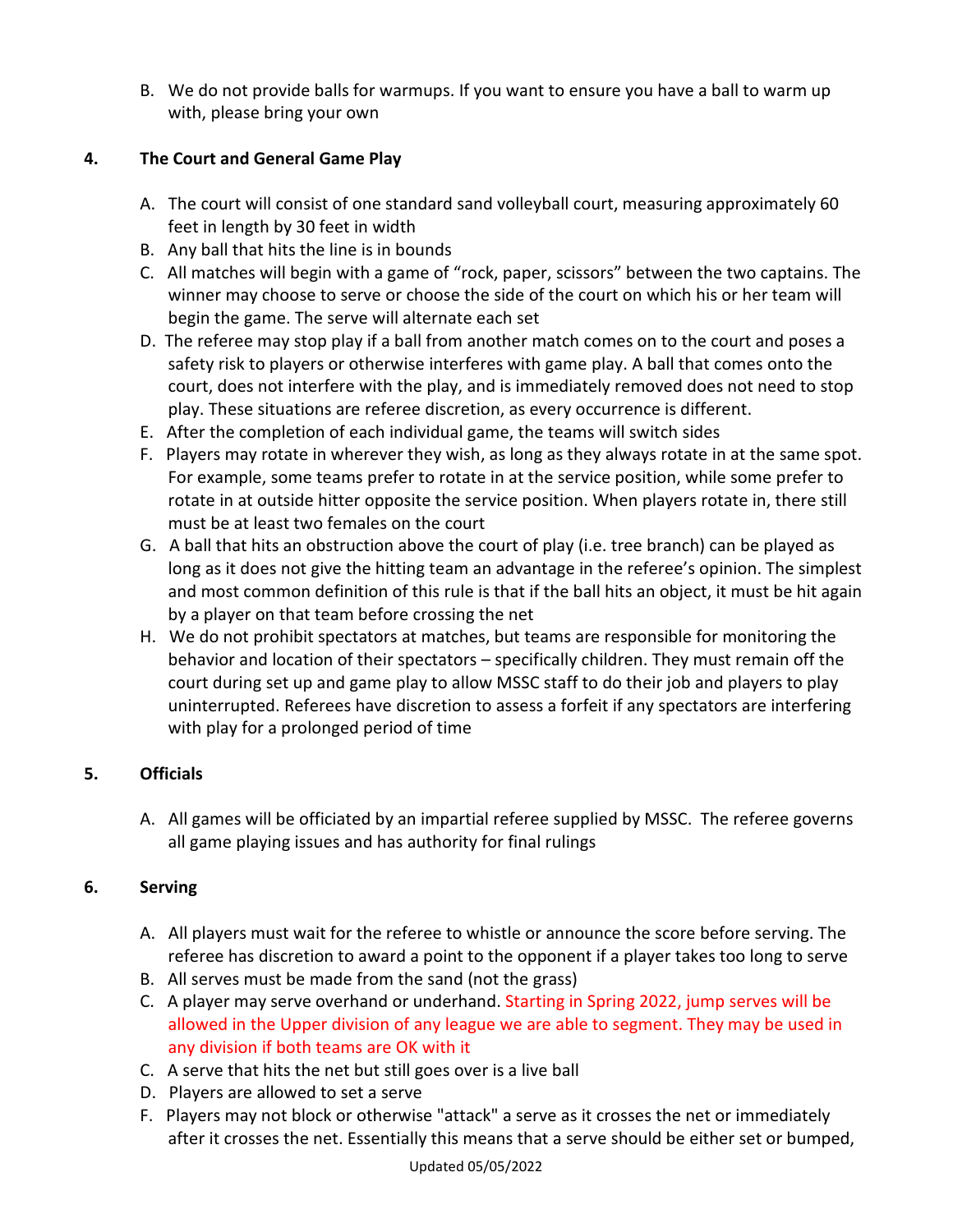B. We do not provide balls for warmups. If you want to ensure you have a ball to warm up with, please bring your own

#### **4. The Court and General Game Play**

- A. The court will consist of one standard sand volleyball court, measuring approximately 60 feet in length by 30 feet in width
- B. Any ball that hits the line is in bounds
- C. All matches will begin with a game of "rock, paper, scissors" between the two captains. The winner may choose to serve or choose the side of the court on which his or her team will begin the game. The serve will alternate each set
- D. The referee may stop play if a ball from another match comes on to the court and poses a safety risk to players or otherwise interferes with game play. A ball that comes onto the court, does not interfere with the play, and is immediately removed does not need to stop play. These situations are referee discretion, as every occurrence is different.
- E. After the completion of each individual game, the teams will switch sides
- F. Players may rotate in wherever they wish, as long as they always rotate in at the same spot. For example, some teams prefer to rotate in at the service position, while some prefer to rotate in at outside hitter opposite the service position. When players rotate in, there still must be at least two females on the court
- G. A ball that hits an obstruction above the court of play (i.e. tree branch) can be played as long as it does not give the hitting team an advantage in the referee's opinion. The simplest and most common definition of this rule is that if the ball hits an object, it must be hit again by a player on that team before crossing the net
- H. We do not prohibit spectators at matches, but teams are responsible for monitoring the behavior and location of their spectators – specifically children. They must remain off the court during set up and game play to allow MSSC staff to do their job and players to play uninterrupted. Referees have discretion to assess a forfeit if any spectators are interfering with play for a prolonged period of time

#### **5. Officials**

A. All games will be officiated by an impartial referee supplied by MSSC. The referee governs all game playing issues and has authority for final rulings

#### **6. Serving**

- A. All players must wait for the referee to whistle or announce the score before serving. The referee has discretion to award a point to the opponent if a player takes too long to serve
- B. All serves must be made from the sand (not the grass)
- C. A player may serve overhand or underhand. Starting in Spring 2022, jump serves will be allowed in the Upper division of any league we are able to segment. They may be used in any division if both teams are OK with it
- C. A serve that hits the net but still goes over is a live ball
- D. Players are allowed to set a serve
- F. Players may not block or otherwise "attack" a serve as it crosses the net or immediately after it crosses the net. Essentially this means that a serve should be either set or bumped,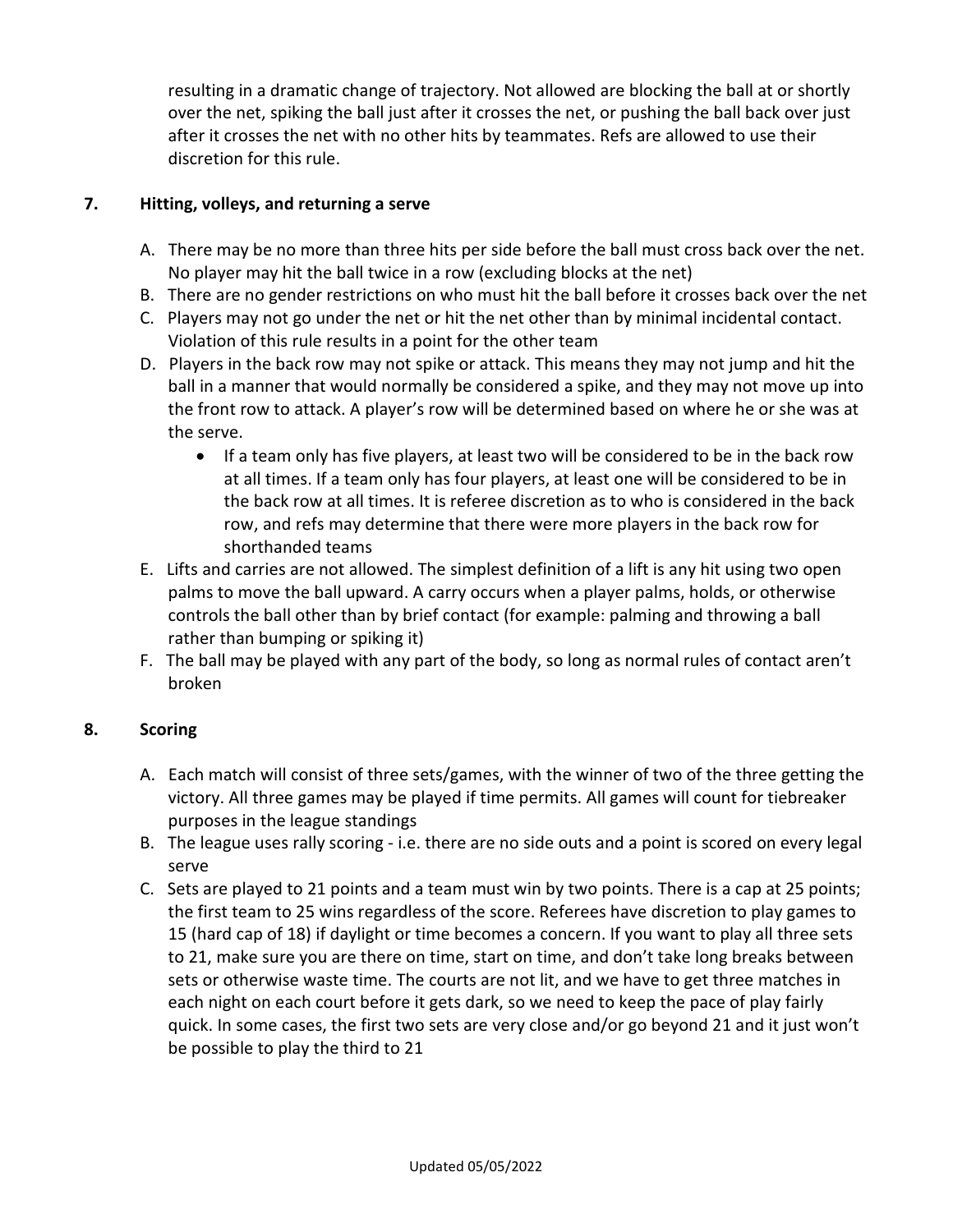resulting in a dramatic change of trajectory. Not allowed are blocking the ball at or shortly over the net, spiking the ball just after it crosses the net, or pushing the ball back over just after it crosses the net with no other hits by teammates. Refs are allowed to use their discretion for this rule.

#### **7. Hitting, volleys, and returning a serve**

- A. There may be no more than three hits per side before the ball must cross back over the net. No player may hit the ball twice in a row (excluding blocks at the net)
- B. There are no gender restrictions on who must hit the ball before it crosses back over the net
- C. Players may not go under the net or hit the net other than by minimal incidental contact. Violation of this rule results in a point for the other team
- D. Players in the back row may not spike or attack. This means they may not jump and hit the ball in a manner that would normally be considered a spike, and they may not move up into the front row to attack. A player's row will be determined based on where he or she was at the serve.
	- If a team only has five players, at least two will be considered to be in the back row at all times. If a team only has four players, at least one will be considered to be in the back row at all times. It is referee discretion as to who is considered in the back row, and refs may determine that there were more players in the back row for shorthanded teams
- E. Lifts and carries are not allowed. The simplest definition of a lift is any hit using two open palms to move the ball upward. A carry occurs when a player palms, holds, or otherwise controls the ball other than by brief contact (for example: palming and throwing a ball rather than bumping or spiking it)
- F. The ball may be played with any part of the body, so long as normal rules of contact aren't broken

#### **8. Scoring**

- A. Each match will consist of three sets/games, with the winner of two of the three getting the victory. All three games may be played if time permits. All games will count for tiebreaker purposes in the league standings
- B. The league uses rally scoring i.e. there are no side outs and a point is scored on every legal serve
- C. Sets are played to 21 points and a team must win by two points. There is a cap at 25 points; the first team to 25 wins regardless of the score. Referees have discretion to play games to 15 (hard cap of 18) if daylight or time becomes a concern. If you want to play all three sets to 21, make sure you are there on time, start on time, and don't take long breaks between sets or otherwise waste time. The courts are not lit, and we have to get three matches in each night on each court before it gets dark, so we need to keep the pace of play fairly quick. In some cases, the first two sets are very close and/or go beyond 21 and it just won't be possible to play the third to 21